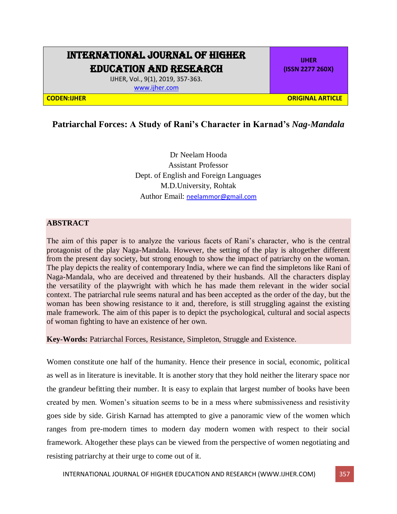## INTERNATIONAL JOURNAL OF HIGHER EDUCATION AND RESEARCH

IJHER, Vol., 9(1), 2019, 357-363. [www.ijher.com](http://www.ijher.com/)

**IJHER (ISSN 2277 260X)**

**CODEN:IJHER ORIGINAL ARTICLE**

## **Patriarchal Forces: A Study of Rani's Character in Karnad's** *Nag-Mandala*

Dr Neelam Hooda Assistant Professor Dept. of English and Foreign Languages M.D.University, Rohtak Author Email: [neelammor@gmail.com](mailto:neelammor@gmail.com)

## **ABSTRACT**

The aim of this paper is to analyze the various facets of Rani's character, who is the central protagonist of the play Naga-Mandala. However, the setting of the play is altogether different from the present day society, but strong enough to show the impact of patriarchy on the woman. The play depicts the reality of contemporary India, where we can find the simpletons like Rani of Naga-Mandala, who are deceived and threatened by their husbands. All the characters display the versatility of the playwright with which he has made them relevant in the wider social context. The patriarchal rule seems natural and has been accepted as the order of the day, but the woman has been showing resistance to it and, therefore, is still struggling against the existing male framework. The aim of this paper is to depict the psychological, cultural and social aspects of woman fighting to have an existence of her own.

**Key-Words:** Patriarchal Forces, Resistance, Simpleton, Struggle and Existence.

Women constitute one half of the humanity. Hence their presence in social, economic, political as well as in literature is inevitable. It is another story that they hold neither the literary space nor the grandeur befitting their number. It is easy to explain that largest number of books have been created by men. Women's situation seems to be in a mess where submissiveness and resistivity goes side by side. Girish Karnad has attempted to give a panoramic view of the women which ranges from pre-modern times to modern day modern women with respect to their social framework. Altogether these plays can be viewed from the perspective of women negotiating and resisting patriarchy at their urge to come out of it.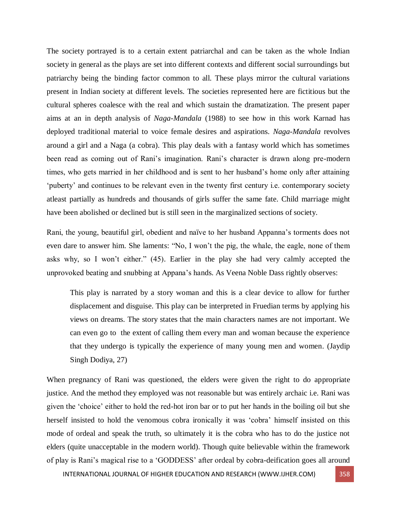The society portrayed is to a certain extent patriarchal and can be taken as the whole Indian society in general as the plays are set into different contexts and different social surroundings but patriarchy being the binding factor common to all. These plays mirror the cultural variations present in Indian society at different levels. The societies represented here are fictitious but the cultural spheres coalesce with the real and which sustain the dramatization. The present paper aims at an in depth analysis of *Naga*-*Mandala* (1988) to see how in this work Karnad has deployed traditional material to voice female desires and aspirations. *Naga*-*Mandala* revolves around a girl and a Naga (a cobra). This play deals with a fantasy world which has sometimes been read as coming out of Rani's imagination. Rani's character is drawn along pre-modern times, who gets married in her childhood and is sent to her husband's home only after attaining 'puberty' and continues to be relevant even in the twenty first century i.e. contemporary society atleast partially as hundreds and thousands of girls suffer the same fate. Child marriage might have been abolished or declined but is still seen in the marginalized sections of society.

Rani, the young, beautiful girl, obedient and naïve to her husband Appanna's torments does not even dare to answer him. She laments: "No, I won't the pig, the whale, the eagle, none of them asks why, so I won't either." (45). Earlier in the play she had very calmly accepted the unprovoked beating and snubbing at Appana's hands. As Veena Noble Dass rightly observes:

This play is narrated by a story woman and this is a clear device to allow for further displacement and disguise. This play can be interpreted in Fruedian terms by applying his views on dreams. The story states that the main characters names are not important. We can even go to the extent of calling them every man and woman because the experience that they undergo is typically the experience of many young men and women. (Jaydip Singh Dodiya, 27)

When pregnancy of Rani was questioned, the elders were given the right to do appropriate justice. And the method they employed was not reasonable but was entirely archaic i.e. Rani was given the 'choice' either to hold the red-hot iron bar or to put her hands in the boiling oil but she herself insisted to hold the venomous cobra ironically it was 'cobra' himself insisted on this mode of ordeal and speak the truth, so ultimately it is the cobra who has to do the justice not elders (quite unacceptable in the modern world). Though quite believable within the framework of play is Rani's magical rise to a 'GODDESS' after ordeal by cobra-deification goes all around

INTERNATIONAL JOURNAL OF HIGHER EDUCATION AND RESEARCH (WWW.IJHER.COM) 358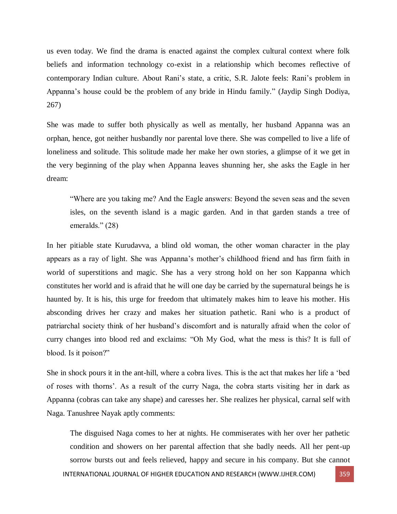us even today. We find the drama is enacted against the complex cultural context where folk beliefs and information technology co-exist in a relationship which becomes reflective of contemporary Indian culture. About Rani's state, a critic, S.R. Jalote feels: Rani's problem in Appanna's house could be the problem of any bride in Hindu family." (Jaydip Singh Dodiya, 267)

She was made to suffer both physically as well as mentally, her husband Appanna was an orphan, hence, got neither husbandly nor parental love there. She was compelled to live a life of loneliness and solitude. This solitude made her make her own stories, a glimpse of it we get in the very beginning of the play when Appanna leaves shunning her, she asks the Eagle in her dream:

"Where are you taking me? And the Eagle answers: Beyond the seven seas and the seven isles, on the seventh island is a magic garden. And in that garden stands a tree of emeralds." (28)

In her pitiable state Kurudavva, a blind old woman, the other woman character in the play appears as a ray of light. She was Appanna's mother's childhood friend and has firm faith in world of superstitions and magic. She has a very strong hold on her son Kappanna which constitutes her world and is afraid that he will one day be carried by the supernatural beings he is haunted by. It is his, this urge for freedom that ultimately makes him to leave his mother. His absconding drives her crazy and makes her situation pathetic. Rani who is a product of patriarchal society think of her husband's discomfort and is naturally afraid when the color of curry changes into blood red and exclaims: "Oh My God, what the mess is this? It is full of blood. Is it poison?"

She in shock pours it in the ant-hill, where a cobra lives. This is the act that makes her life a 'bed of roses with thorns'. As a result of the curry Naga, the cobra starts visiting her in dark as Appanna (cobras can take any shape) and caresses her. She realizes her physical, carnal self with Naga. Tanushree Nayak aptly comments:

INTERNATIONAL JOURNAL OF HIGHER EDUCATION AND RESEARCH (WWW.IJHER.COM) 359 The disguised Naga comes to her at nights. He commiserates with her over her pathetic condition and showers on her parental affection that she badly needs. All her pent-up sorrow bursts out and feels relieved, happy and secure in his company. But she cannot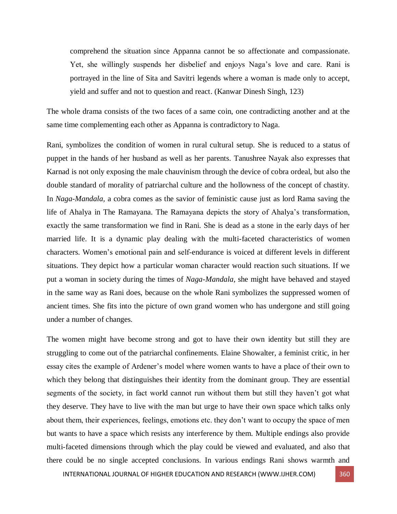comprehend the situation since Appanna cannot be so affectionate and compassionate. Yet, she willingly suspends her disbelief and enjoys Naga's love and care. Rani is portrayed in the line of Sita and Savitri legends where a woman is made only to accept, yield and suffer and not to question and react. (Kanwar Dinesh Singh, 123)

The whole drama consists of the two faces of a same coin, one contradicting another and at the same time complementing each other as Appanna is contradictory to Naga.

Rani, symbolizes the condition of women in rural cultural setup. She is reduced to a status of puppet in the hands of her husband as well as her parents. Tanushree Nayak also expresses that Karnad is not only exposing the male chauvinism through the device of cobra ordeal, but also the double standard of morality of patriarchal culture and the hollowness of the concept of chastity. In *Naga-Mandala,* a cobra comes as the savior of feministic cause just as lord Rama saving the life of Ahalya in The Ramayana. The Ramayana depicts the story of Ahalya's transformation, exactly the same transformation we find in Rani. She is dead as a stone in the early days of her married life. It is a dynamic play dealing with the multi-faceted characteristics of women characters. Women's emotional pain and self-endurance is voiced at different levels in different situations. They depict how a particular woman character would reaction such situations. If we put a woman in society during the times of *Naga-Mandala,* she might have behaved and stayed in the same way as Rani does, because on the whole Rani symbolizes the suppressed women of ancient times. She fits into the picture of own grand women who has undergone and still going under a number of changes.

The women might have become strong and got to have their own identity but still they are struggling to come out of the patriarchal confinements. Elaine Showalter, a feminist critic, in her essay cites the example of Ardener's model where women wants to have a place of their own to which they belong that distinguishes their identity from the dominant group. They are essential segments of the society, in fact world cannot run without them but still they haven't got what they deserve. They have to live with the man but urge to have their own space which talks only about them, their experiences, feelings, emotions etc. they don't want to occupy the space of men but wants to have a space which resists any interference by them. Multiple endings also provide multi-faceted dimensions through which the play could be viewed and evaluated, and also that there could be no single accepted conclusions. In various endings Rani shows warmth and

INTERNATIONAL JOURNAL OF HIGHER EDUCATION AND RESEARCH (WWW.IJHER.COM) 360